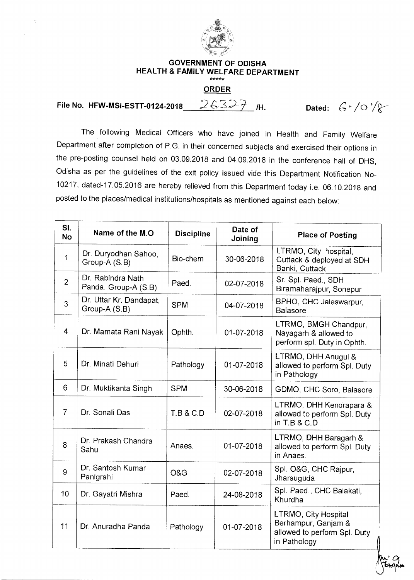

## **GOVERNMENT OF ODISHA HEALTH & FAMILY WELFARE DEPARTMENT**

## **ORDER**

**File No. HFW-MSI-ESTT-0124-2018** 26327 /H. Dated:  $6 \cdot /0 \cdot /8$ 

The following Medical Officers who have joined in Health and Family Welfare Department after completion of P.G. in their concerned subjects and exercised their options in the pre-posting counsel held on 03.09.2018 and 04.09.2018 in the conference hall of DHS, Odisha as per the guidelines of the exit policy issued vide this Department Notification No-10217, dated-17.05.2016 are hereby relieved from this Department today i.e. 06.10.2018 and posted to the places/medical institutions/hospitals as mentioned against each below:

| SI.<br><b>No</b> | Name of the M.O.                          | <b>Discipline</b> | Date of<br>Joining | <b>Place of Posting</b>                                                                     |
|------------------|-------------------------------------------|-------------------|--------------------|---------------------------------------------------------------------------------------------|
| 1                | Dr. Duryodhan Sahoo,<br>Group-A (S.B)     | Bio-chem          | 30-06-2018         | LTRMO, City hospital.<br>Cuttack & deployed at SDH<br>Banki, Cuttack                        |
| $\overline{2}$   | Dr. Rabindra Nath<br>Panda, Group-A (S.B) | Paed.             | 02-07-2018         | Sr. Spl. Paed., SDH<br>Biramaharajpur, Sonepur                                              |
| 3                | Dr. Uttar Kr. Dandapat,<br>Group-A (S.B)  | <b>SPM</b>        | 04-07-2018         | BPHO, CHC Jaleswarpur,<br><b>Balasore</b>                                                   |
| $\overline{4}$   | Dr. Mamata Rani Nayak                     | Ophth.            | 01-07-2018         | LTRMO, BMGH Chandpur,<br>Nayagarh & allowed to<br>perform spl. Duty in Ophth.               |
| 5                | Dr. Minati Dehuri                         | Pathology         | 01-07-2018         | LTRMO, DHH Anugul &<br>allowed to perform Spl. Duty<br>in Pathology                         |
| 6                | Dr. Muktikanta Singh                      | <b>SPM</b>        | 30-06-2018         | GDMO, CHC Soro, Balasore                                                                    |
| $\overline{7}$   | Dr. Sonali Das                            | T.B & C.D         | 02-07-2018         | LTRMO, DHH Kendrapara &<br>allowed to perform Spl. Duty<br>in $T.B & C.D$                   |
| 8                | Dr. Prakash Chandra<br>Sahu               | Anaes.            | 01-07-2018         | LTRMO, DHH Baragarh &<br>allowed to perform Spl. Duty<br>in Anaes.                          |
| 9                | Dr. Santosh Kumar<br>Panigrahi            | O&G               | 02-07-2018         | Spl. O&G, CHC Rajpur,<br>Jharsuguda                                                         |
| 10               | Dr. Gayatri Mishra                        | Paed.             | 24-08-2018         | Spl. Paed., CHC Balakati,<br>Khurdha                                                        |
| 11               | Dr. Anuradha Panda                        | Pathology         | 01-07-2018         | LTRMO, City Hospital<br>Berhampur, Ganjam &<br>allowed to perform Spl. Duty<br>in Pathology |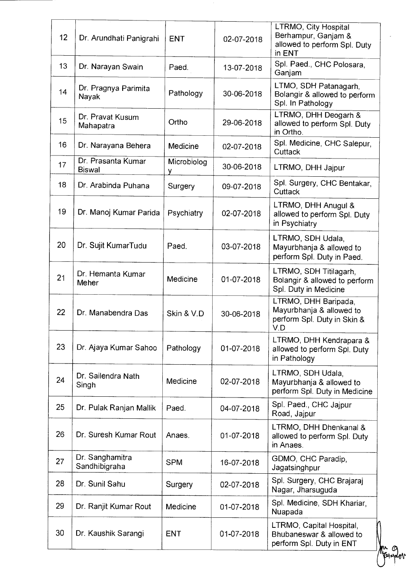| 12 | Dr. Arundhati Panigrahi             | <b>ENT</b>       | 02-07-2018 | LTRMO, City Hospital<br>Berhampur, Ganjam &<br>allowed to perform Spl. Duty<br>in ENT  |
|----|-------------------------------------|------------------|------------|----------------------------------------------------------------------------------------|
| 13 | Dr. Narayan Swain                   | Paed.            | 13-07-2018 | Spl. Paed., CHC Polosara,<br>Ganjam                                                    |
| 14 | Dr. Pragnya Parimita<br>Nayak       | Pathology        | 30-06-2018 | LTMO, SDH Patanagarh,<br>Bolangir & allowed to perform<br>Spl. In Pathology            |
| 15 | Dr. Pravat Kusum<br>Mahapatra       | Ortho            | 29-06-2018 | LTRMO, DHH Deogarh &<br>allowed to perform Spl. Duty<br>in Ortho.                      |
| 16 | Dr. Narayana Behera                 | Medicine         | 02-07-2018 | Spl. Medicine, CHC Salepur,<br>Cuttack                                                 |
| 17 | Dr. Prasanta Kumar<br><b>Biswal</b> | Microbiolog<br>٧ | 30-06-2018 | LTRMO, DHH Jajpur                                                                      |
| 18 | Dr. Arabinda Puhana                 | Surgery          | 09-07-2018 | Spl. Surgery, CHC Bentakar,<br>Cuttack                                                 |
| 19 | Dr. Manoj Kumar Parida              | Psychiatry       | 02-07-2018 | LTRMO, DHH Anugul &<br>allowed to perform Spl. Duty<br>in Psychiatry                   |
| 20 | Dr. Sujit KumarTudu                 | Paed.            | 03-07-2018 | LTRMO, SDH Udala,<br>Mayurbhanja & allowed to<br>perform Spl. Duty in Paed.            |
| 21 | Dr. Hemanta Kumar<br>Meher          | Medicine         | 01-07-2018 | LTRMO, SDH Titilagarh,<br>Bolangir & allowed to perform<br>Spl. Duty in Medicine       |
| 22 | Dr. Manabendra Das                  | Skin & V.D       | 30-06-2018 | LTRMO, DHH Baripada,<br>Mayurbhanja & allowed to<br>perform Spl. Duty in Skin &<br>V.D |
| 23 | Dr. Ajaya Kumar Sahoo               | Pathology        | 01-07-2018 | LTRMO, DHH Kendrapara &<br>allowed to perform Spl. Duty<br>in Pathology                |
| 24 | Dr. Sailendra Nath<br>Singh         | Medicine         | 02-07-2018 | LTRMO, SDH Udala,<br>Mayurbhanja & allowed to<br>perform Spl. Duty in Medicine         |
| 25 | Dr. Pulak Ranjan Mallik             | Paed.            | 04-07-2018 | Spl. Paed., CHC Jajpur<br>Road, Jajpur                                                 |
| 26 | Dr. Suresh Kumar Rout               | Anaes.           | 01-07-2018 | LTRMO, DHH Dhenkanal &<br>allowed to perform Spl. Duty<br>in Anaes.                    |
| 27 | Dr. Sanghamitra<br>Sandhibigraha    | <b>SPM</b>       | 16-07-2018 | GDMO, CHC Paradip,<br>Jagatsinghpur                                                    |
| 28 | Dr. Sunil Sahu                      | Surgery          | 02-07-2018 | Spl. Surgery, CHC Brajaraj<br>Nagar, Jharsuguda                                        |
| 29 | Dr. Ranjit Kumar Rout               | Medicine         | 01-07-2018 | Spl. Medicine, SDH Khariar,<br>Nuapada                                                 |
| 30 | Dr. Kaushik Sarangi                 | <b>ENT</b>       | 01-07-2018 | LTRMO, Capital Hospital,<br>Bhubaneswar & allowed to<br>perform Spl. Duty in ENT       |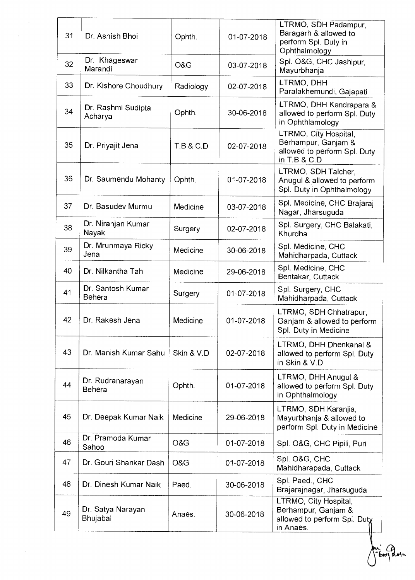| 31 | Dr. Ashish Bhoi                    | Ophth.               | 01-07-2018 | LTRMO, SDH Padampur,<br>Baragarh & allowed to<br>perform Spl. Duty in<br>Ophthalmology       |
|----|------------------------------------|----------------------|------------|----------------------------------------------------------------------------------------------|
| 32 | Dr. Khageswar<br>Marandi           | O&G                  | 03-07-2018 | Spl. O&G, CHC Jashipur,<br>Mayurbhanja                                                       |
| 33 | Dr. Kishore Choudhury              | Radiology            | 02-07-2018 | LTRMO, DHH<br>Paralakhemundi, Gajapati                                                       |
| 34 | Dr. Rashmi Sudipta<br>Acharya      | Ophth.               | 30-06-2018 | LTRMO, DHH Kendrapara &<br>allowed to perform Spl. Duty<br>in Ophthlamology                  |
| 35 | Dr. Priyajit Jena                  | <b>T.B &amp; C.D</b> | 02-07-2018 | LTRMO, City Hospital,<br>Berhampur, Ganjam &<br>allowed to perform Spl. Duty<br>in T.B & C.D |
| 36 | Dr. Saumendu Mohanty               | Ophth.               | 01-07-2018 | LTRMO, SDH Talcher,<br>Anugul & allowed to perform<br>Spl. Duty in Ophthalmology             |
| 37 | Dr. Basudev Murmu                  | Medicine             | 03-07-2018 | Spl. Medicine, CHC Brajaraj<br>Nagar, Jharsuguda                                             |
| 38 | Dr. Niranjan Kumar<br>Nayak        | Surgery              | 02-07-2018 | Spl. Surgery, CHC Balakati,<br>Khurdha                                                       |
| 39 | Dr. Mrunmaya Ricky<br>Jena         | Medicine             | 30-06-2018 | Spl. Medicine, CHC<br>Mahidharpada, Cuttack                                                  |
| 40 | Dr. Nilkantha Tah                  | Medicine             | 29-06-2018 | Spl. Medicine, CHC<br>Bentakar, Cuttack                                                      |
| 41 | Dr. Santosh Kumar<br><b>Behera</b> | Surgery              | 01-07-2018 | Spl. Surgery, CHC<br>Mahidharpada, Cuttack                                                   |
| 42 | Dr. Rakesh Jena                    | Medicine             | 01-07-2018 | LTRMO, SDH Chhatrapur,<br>Ganjam & allowed to perform<br>Spl. Duty in Medicine               |
| 43 | Dr. Manish Kumar Sahu              | Skin & V.D           | 02-07-2018 | LTRMO, DHH Dhenkanal &<br>allowed to perform Spl. Duty<br>in Skin & V.D                      |
| 44 | Dr. Rudranarayan<br><b>Behera</b>  | Ophth.               | 01-07-2018 | LTRMO, DHH Anugul &<br>allowed to perform Spl. Duty<br>in Ophthalmology                      |
| 45 | Dr. Deepak Kumar Naik              | Medicine             | 29-06-2018 | LTRMO, SDH Karanjia,<br>Mayurbhanja & allowed to<br>perform Spl. Duty in Medicine            |
| 46 | Dr. Pramoda Kumar<br>Sahoo         | O&G                  | 01-07-2018 | Spl. O&G, CHC Pipili, Puri                                                                   |
| 47 | Dr. Gouri Shankar Dash             | O&G                  | 01-07-2018 | Spl. O&G, CHC<br>Mahidharapada, Cuttack                                                      |
| 48 | Dr. Dinesh Kumar Naik              | Paed.                | 30-06-2018 | Spl. Paed., CHC<br>Brajarajnagar, Jharsuguda                                                 |
| 49 | Dr. Satya Narayan<br>Bhujabal      | Anaes.               | 30-06-2018 | LTRMO, City Hospital,<br>Berhampur, Ganjam &<br>allowed to perform Spl. Duty<br>in Anaes.    |

i<br>61ma

oje<br>M

 $\bar{\gamma}$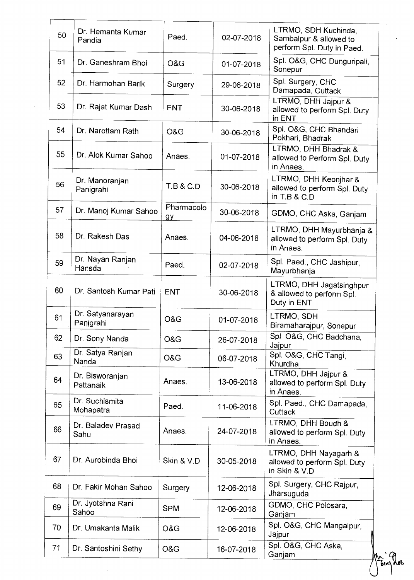| 50 | Dr. Hemanta Kumar<br>Pandia   | Paed.                | 02-07-2018 | LTRMO, SDH Kuchinda,<br>Sambalpur & allowed to<br>perform Spl. Duty in Paed. |
|----|-------------------------------|----------------------|------------|------------------------------------------------------------------------------|
| 51 | Dr. Ganeshram Bhoi            | O&G                  | 01-07-2018 | Spl. O&G, CHC Dunguripali,<br>Sonepur                                        |
| 52 | Dr. Harmohan Barik            | Surgery              | 29-06-2018 | Spl. Surgery, CHC<br>Damapada, Cuttack                                       |
| 53 | Dr. Rajat Kumar Dash          | <b>ENT</b>           | 30-06-2018 | LTRMO, DHH Jaipur &<br>allowed to perform Spl. Duty<br>in ENT                |
| 54 | Dr. Narottam Rath             | O&G                  | 30-06-2018 | Spl. O&G, CHC Bhandari<br>Pokhari, Bhadrak                                   |
| 55 | Dr. Alok Kumar Sahoo          | Anaes.               | 01-07-2018 | LTRMO, DHH Bhadrak &<br>allowed to Perform Spl. Duty<br>in Anaes.            |
| 56 | Dr. Manoranjan<br>Panigrahi   | <b>T.B &amp; C.D</b> | 30-06-2018 | LTRMO, DHH Keonjhar &<br>allowed to perform Spl. Duty<br>in $T.B & C.D$      |
| 57 | Dr. Manoj Kumar Sahoo         | Pharmacolo<br>gy     | 30-06-2018 | GDMO, CHC Aska, Ganjam                                                       |
| 58 | Dr. Rakesh Das                | Anaes.               | 04-06-2018 | LTRMO, DHH Mayurbhanja &<br>allowed to perform Spl. Duty<br>in Anaes.        |
| 59 | Dr. Nayan Ranjan<br>Hansda    | Paed.                | 02-07-2018 | Spl. Paed., CHC Jashipur,<br>Mayurbhanja                                     |
| 60 | Dr. Santosh Kumar Pati        | <b>ENT</b>           | 30-06-2018 | LTRMO, DHH Jagatsinghpur<br>& allowed to perform Spl.<br>Duty in ENT         |
| 61 | Dr. Satyanarayan<br>Panigrahi | O&G                  | 01-07-2018 | LTRMO, SDH<br>Biramaharajpur, Sonepur                                        |
| 62 | Dr. Sony Nanda                | O&G                  | 26-07-2018 | Spl. O&G, CHC Badchana,<br>Jajpur                                            |
| 63 | Dr. Satya Ranjan<br>Nanda     | O&G                  | 06-07-2018 | Spl. O&G, CHC Tangi.<br>Khurdha                                              |
| 64 | Dr. Bisworanjan<br>Pattanaik  | Anaes.               | 13-06-2018 | LTRMO, DHH Jajpur &<br>allowed to perform Spl. Duty<br>in Anaes.             |
| 65 | Dr. Suchismita<br>Mohapatra   | Paed.                | 11-06-2018 | Spl. Paed., CHC Damapada,<br>Cuttack                                         |
| 66 | Dr. Baladev Prasad<br>Sahu    | Anaes.               | 24-07-2018 | LTRMO, DHH Boudh &<br>allowed to perform Spl. Duty<br>in Anaes.              |
| 67 | Dr. Aurobinda Bhoi            | Skin & V.D           | 30-05-2018 | LTRMO, DHH Nayagarh &<br>allowed to perform Spl. Duty<br>in Skin & V D       |
| 68 | Dr. Fakir Mohan Sahoo         | Surgery              | 12-06-2018 | Spl. Surgery, CHC Rajpur,<br>Jharsuguda                                      |
| 69 | Dr. Jyotshna Rani<br>Sahoo    | <b>SPM</b>           | 12-06-2018 | GDMO, CHC Polosara,<br>Ganjam                                                |
| 70 | Dr. Umakanta Malik            | O&G                  | 12-06-2018 | Spl. O&G, CHC Mangalpur,<br>Jajpur                                           |
| 71 | Dr. Santoshini Sethy          | O&G                  | 16-07-2018 | Spl. O&G, CHC Aska,<br>Ganjam                                                |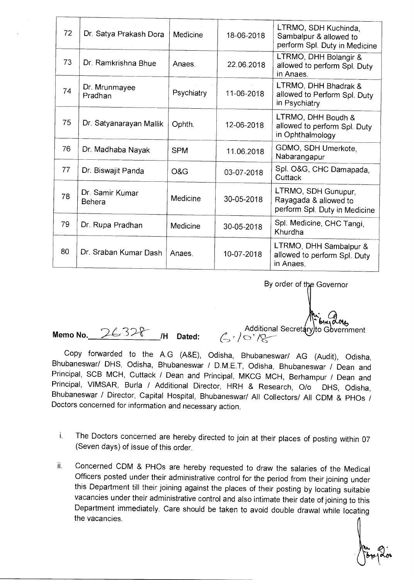| 72 | Dr. Satya Prakash Dora           | Medicine   | 18-06-2018 | LTRMO, SDH Kuchinda,<br>Sambalpur & allowed to<br>perform Spl. Duty in Medicine |
|----|----------------------------------|------------|------------|---------------------------------------------------------------------------------|
| 73 | Dr. Ramkrishna Bhue              | Anaes      | 22.06.2018 | LTRMO, DHH Bolangir &<br>allowed to perform Spl. Duty<br>in Anaes.              |
| 74 | Dr. Mrunmayee<br>Pradhan         | Psychiatry | 11-06-2018 | LTRMO, DHH Bhadrak &<br>allowed to Perform Spl. Duty<br>in Psychiatry           |
| 75 | Dr. Satyanarayan Mallik          | Ophth.     | 12-06-2018 | LTRMO, DHH Boudh &<br>allowed to perform Spl. Duty<br>in Ophthalmology          |
| 76 | Dr. Madhaba Nayak                | <b>SPM</b> | 11.06.2018 | GDMO, SDH Umerkote,<br>Nabarangapur                                             |
| 77 | Dr. Biswajit Panda               | O&G        | 03-07-2018 | Spl. O&G, CHC Damapada,<br>Cuttack                                              |
| 78 | Dr. Samir Kumar<br><b>Behera</b> | Medicine   | 30-05-2018 | LTRMO, SDH Gunupur,<br>Rayagada & allowed to<br>perform Spl. Duty in Medicine   |
| 79 | Dr. Rupa Pradhan                 | Medicine   | 30-05-2018 | Spl. Medicine, CHC Tangi,<br>Khurdha                                            |
| 80 | Dr. Sraban Kumar Dash            | Anaes.     | 10-07-2018 | LTRMO, DHH Sambalpur &<br>allowed to perform Spl. Duty<br>in Anaes.             |

By order of the Governor

ا ۱<del>یہ ا</del>ھ<br>Additional Secretary to Go to Gbvernment

Memo No. 26328 /H Dated:

Copy forwarded to the A.G (A&E), Odisha, Bhubaneswar/ AG (Audit), Odisha, Bhubaneswar/ DHS, Odisha, Bhubaneswar / D.M.E.T, Odisha, Bhubaneswar / Dean and Principal, SCB MCH, Cuttack / Dean and Principal, MKCG MCH, Berhampur / Dean and Principal, VIMSAR, Burla / Additional Director, HRH & Research, 0/o DHS, Odisha, Bhubaneswar / Director, Capital Hospital, Bhubaneswar/ All Collectors/ All CDM & PHOs / Doctors concerned for information and necessary action.

- i. The Doctors concerned are hereby directed to join at their places of posting within 07 (Seven days) of issue of this order.
- ii. Concerned CDM & PHOs are hereby requested to draw the salaries of the Medical Officers posted under their administrative control for the period from their joining under this Department till their joining against the places of their posting by locating suitable vacancies under their administrative control and also intimate their date of joining to this Department immediately. Care should be taken to avoid double drawal while locating the vacancies.